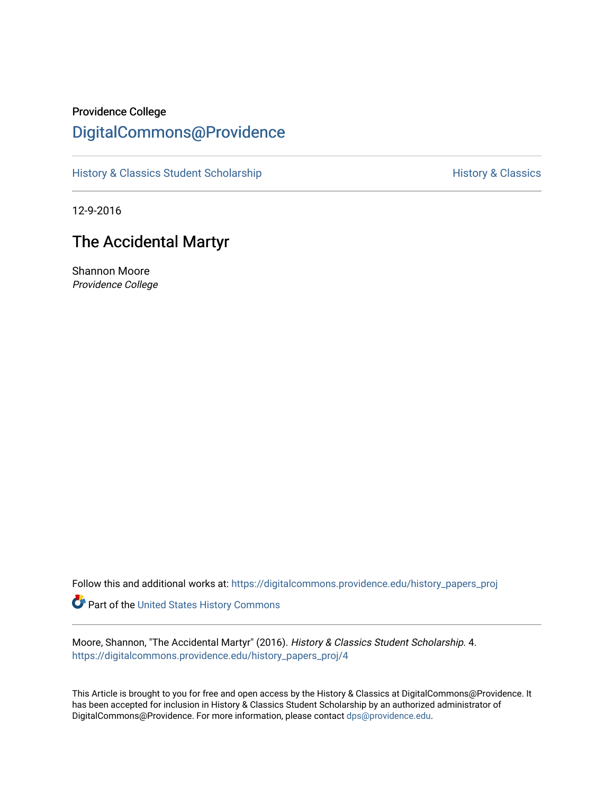## Providence College

## [DigitalCommons@Providence](https://digitalcommons.providence.edu/)

[History & Classics Student Scholarship](https://digitalcommons.providence.edu/history_papers_proj) [History & Classics](https://digitalcommons.providence.edu/history) History & Classics

12-9-2016

## The Accidental Martyr

Shannon Moore Providence College

Follow this and additional works at: [https://digitalcommons.providence.edu/history\\_papers\\_proj](https://digitalcommons.providence.edu/history_papers_proj?utm_source=digitalcommons.providence.edu%2Fhistory_papers_proj%2F4&utm_medium=PDF&utm_campaign=PDFCoverPages) 

Part of the [United States History Commons](http://network.bepress.com/hgg/discipline/495?utm_source=digitalcommons.providence.edu%2Fhistory_papers_proj%2F4&utm_medium=PDF&utm_campaign=PDFCoverPages) 

Moore, Shannon, "The Accidental Martyr" (2016). History & Classics Student Scholarship. 4. [https://digitalcommons.providence.edu/history\\_papers\\_proj/4](https://digitalcommons.providence.edu/history_papers_proj/4?utm_source=digitalcommons.providence.edu%2Fhistory_papers_proj%2F4&utm_medium=PDF&utm_campaign=PDFCoverPages)

This Article is brought to you for free and open access by the History & Classics at DigitalCommons@Providence. It has been accepted for inclusion in History & Classics Student Scholarship by an authorized administrator of DigitalCommons@Providence. For more information, please contact [dps@providence.edu.](mailto:dps@providence.edu)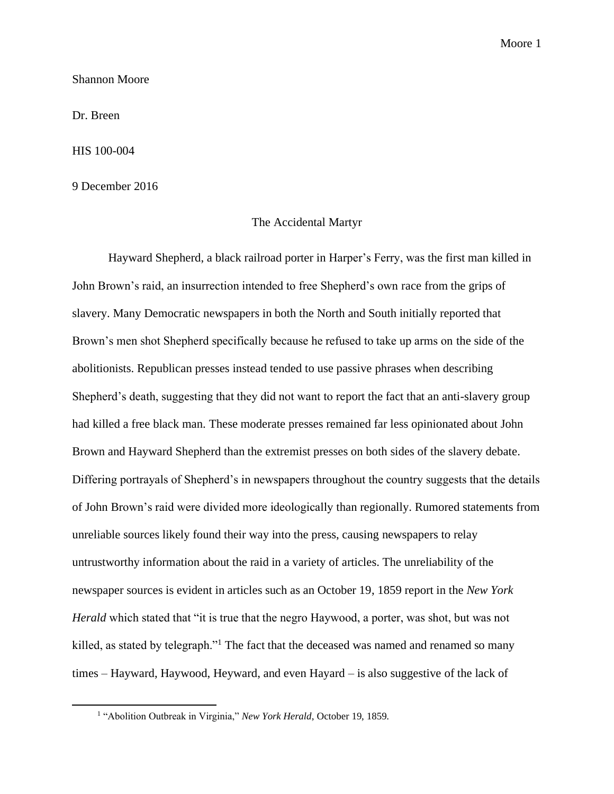Shannon Moore

Dr. Breen

HIS 100-004

9 December 2016

## The Accidental Martyr

Hayward Shepherd, a black railroad porter in Harper's Ferry, was the first man killed in John Brown's raid, an insurrection intended to free Shepherd's own race from the grips of slavery. Many Democratic newspapers in both the North and South initially reported that Brown's men shot Shepherd specifically because he refused to take up arms on the side of the abolitionists. Republican presses instead tended to use passive phrases when describing Shepherd's death, suggesting that they did not want to report the fact that an anti-slavery group had killed a free black man. These moderate presses remained far less opinionated about John Brown and Hayward Shepherd than the extremist presses on both sides of the slavery debate. Differing portrayals of Shepherd's in newspapers throughout the country suggests that the details of John Brown's raid were divided more ideologically than regionally. Rumored statements from unreliable sources likely found their way into the press, causing newspapers to relay untrustworthy information about the raid in a variety of articles. The unreliability of the newspaper sources is evident in articles such as an October 19, 1859 report in the *New York Herald* which stated that "it is true that the negro Haywood, a porter, was shot, but was not killed, as stated by telegraph."<sup>1</sup> The fact that the deceased was named and renamed so many times – Hayward, Haywood, Heyward, and even Hayard – is also suggestive of the lack of

<sup>&</sup>lt;sup>1</sup> "Abolition Outbreak in Virginia," *New York Herald*, October 19, 1859.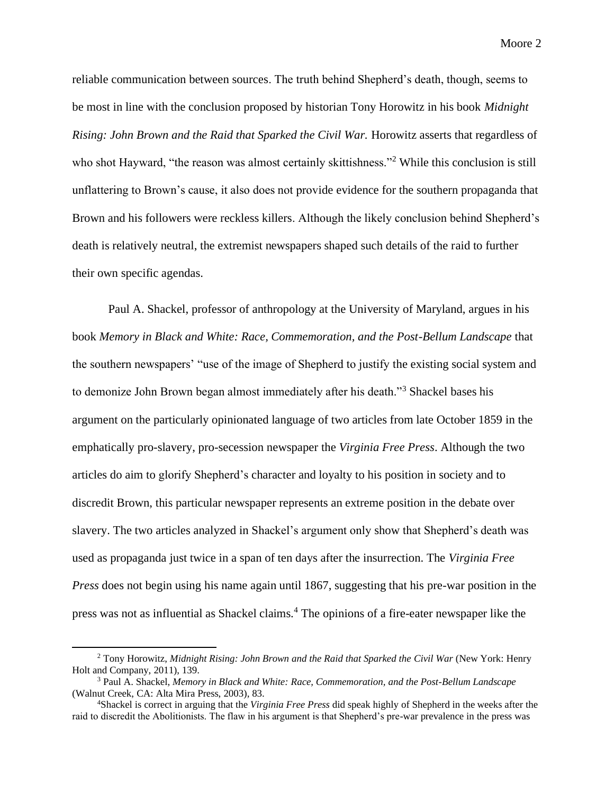reliable communication between sources. The truth behind Shepherd's death, though, seems to be most in line with the conclusion proposed by historian Tony Horowitz in his book *Midnight Rising: John Brown and the Raid that Sparked the Civil War. Horowitz asserts that regardless of* who shot Hayward, "the reason was almost certainly skittishness."<sup>2</sup> While this conclusion is still unflattering to Brown's cause, it also does not provide evidence for the southern propaganda that Brown and his followers were reckless killers. Although the likely conclusion behind Shepherd's death is relatively neutral, the extremist newspapers shaped such details of the raid to further their own specific agendas.

Paul A. Shackel, professor of anthropology at the University of Maryland, argues in his book *Memory in Black and White: Race, Commemoration, and the Post-Bellum Landscape* that the southern newspapers' "use of the image of Shepherd to justify the existing social system and to demonize John Brown began almost immediately after his death."<sup>3</sup> Shackel bases his argument on the particularly opinionated language of two articles from late October 1859 in the emphatically pro-slavery, pro-secession newspaper the *Virginia Free Press*. Although the two articles do aim to glorify Shepherd's character and loyalty to his position in society and to discredit Brown, this particular newspaper represents an extreme position in the debate over slavery. The two articles analyzed in Shackel's argument only show that Shepherd's death was used as propaganda just twice in a span of ten days after the insurrection. The *Virginia Free Press* does not begin using his name again until 1867, suggesting that his pre-war position in the press was not as influential as Shackel claims.<sup>4</sup> The opinions of a fire-eater newspaper like the

<sup>2</sup> Tony Horowitz, *Midnight Rising: John Brown and the Raid that Sparked the Civil War* (New York: Henry Holt and Company, 2011), 139.

<sup>3</sup> Paul A. Shackel, *Memory in Black and White: Race, Commemoration, and the Post-Bellum Landscape* (Walnut Creek, CA: Alta Mira Press, 2003), 83.

<sup>4</sup>Shackel is correct in arguing that the *Virginia Free Press* did speak highly of Shepherd in the weeks after the raid to discredit the Abolitionists. The flaw in his argument is that Shepherd's pre-war prevalence in the press was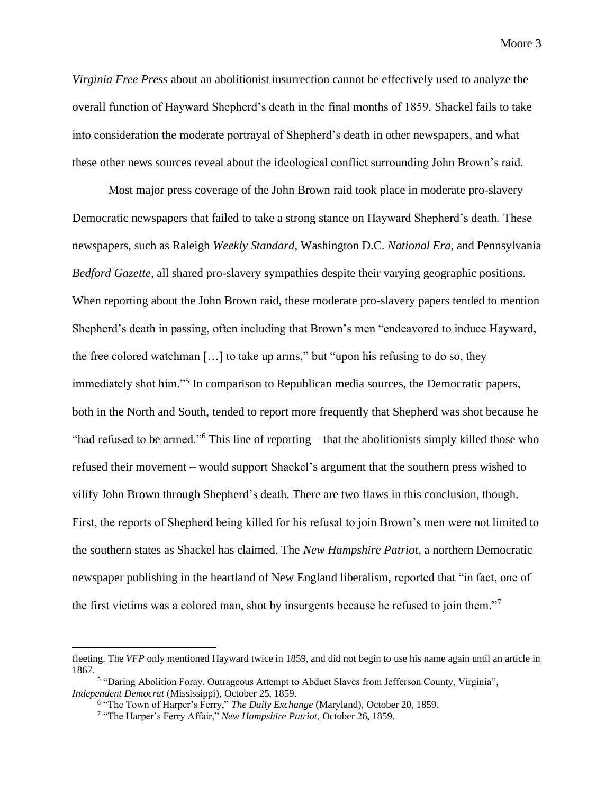*Virginia Free Press* about an abolitionist insurrection cannot be effectively used to analyze the overall function of Hayward Shepherd's death in the final months of 1859. Shackel fails to take into consideration the moderate portrayal of Shepherd's death in other newspapers, and what these other news sources reveal about the ideological conflict surrounding John Brown's raid.

Most major press coverage of the John Brown raid took place in moderate pro-slavery Democratic newspapers that failed to take a strong stance on Hayward Shepherd's death. These newspapers, such as Raleigh *Weekly Standard*, Washington D.C. *National Era*, and Pennsylvania *Bedford Gazette*, all shared pro-slavery sympathies despite their varying geographic positions. When reporting about the John Brown raid, these moderate pro-slavery papers tended to mention Shepherd's death in passing, often including that Brown's men "endeavored to induce Hayward, the free colored watchman […] to take up arms," but "upon his refusing to do so, they immediately shot him."<sup>5</sup> In comparison to Republican media sources, the Democratic papers, both in the North and South, tended to report more frequently that Shepherd was shot because he "had refused to be armed."<sup>6</sup> This line of reporting – that the abolitionists simply killed those who refused their movement – would support Shackel's argument that the southern press wished to vilify John Brown through Shepherd's death. There are two flaws in this conclusion, though. First, the reports of Shepherd being killed for his refusal to join Brown's men were not limited to the southern states as Shackel has claimed. The *New Hampshire Patriot*, a northern Democratic newspaper publishing in the heartland of New England liberalism, reported that "in fact, one of the first victims was a colored man, shot by insurgents because he refused to join them."<sup>7</sup>

fleeting. The *VFP* only mentioned Hayward twice in 1859, and did not begin to use his name again until an article in 1867.

<sup>&</sup>lt;sup>5</sup> "Daring Abolition Foray. Outrageous Attempt to Abduct Slaves from Jefferson County, Virginia", *Independent Democrat* (Mississippi), October 25, 1859.

<sup>&</sup>lt;sup>6</sup> "The Town of Harper's Ferry," *The Daily Exchange* (Maryland), October 20, 1859.

<sup>7</sup> "The Harper's Ferry Affair," *New Hampshire Patriot*, October 26, 1859.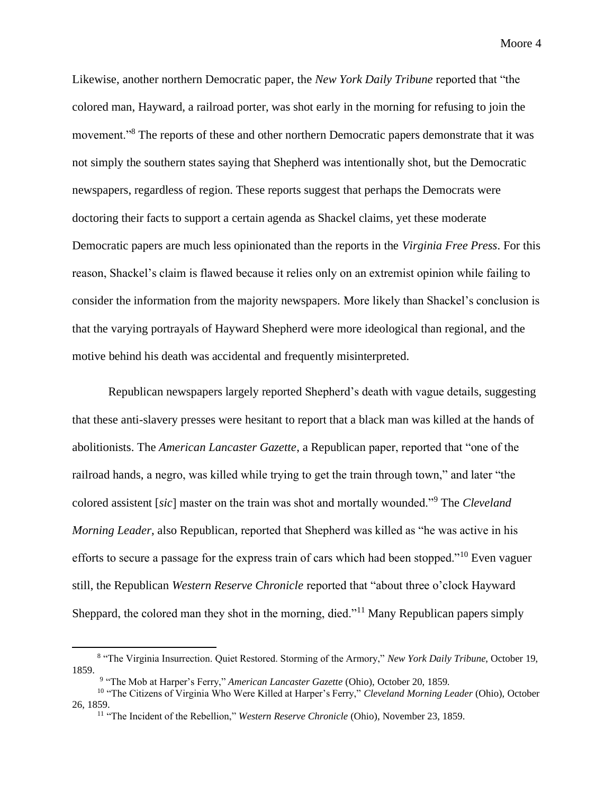Likewise, another northern Democratic paper, the *New York Daily Tribune* reported that "the colored man, Hayward, a railroad porter, was shot early in the morning for refusing to join the movement."<sup>8</sup> The reports of these and other northern Democratic papers demonstrate that it was not simply the southern states saying that Shepherd was intentionally shot, but the Democratic newspapers, regardless of region. These reports suggest that perhaps the Democrats were doctoring their facts to support a certain agenda as Shackel claims, yet these moderate Democratic papers are much less opinionated than the reports in the *Virginia Free Press*. For this reason, Shackel's claim is flawed because it relies only on an extremist opinion while failing to consider the information from the majority newspapers. More likely than Shackel's conclusion is that the varying portrayals of Hayward Shepherd were more ideological than regional, and the motive behind his death was accidental and frequently misinterpreted.

Republican newspapers largely reported Shepherd's death with vague details, suggesting that these anti-slavery presses were hesitant to report that a black man was killed at the hands of abolitionists. The *American Lancaster Gazette*, a Republican paper, reported that "one of the railroad hands, a negro, was killed while trying to get the train through town," and later "the colored assistent [*sic*] master on the train was shot and mortally wounded."<sup>9</sup> The *Cleveland Morning Leader*, also Republican, reported that Shepherd was killed as "he was active in his efforts to secure a passage for the express train of cars which had been stopped."<sup>10</sup> Even vaguer still, the Republican *Western Reserve Chronicle* reported that "about three o'clock Hayward Sheppard, the colored man they shot in the morning, died."<sup>11</sup> Many Republican papers simply

<sup>8</sup> "The Virginia Insurrection. Quiet Restored. Storming of the Armory," *New York Daily Tribune*, October 19, 1859.

<sup>9</sup> "The Mob at Harper's Ferry," *American Lancaster Gazette* (Ohio), October 20, 1859.

<sup>10</sup> "The Citizens of Virginia Who Were Killed at Harper's Ferry," *Cleveland Morning Leader* (Ohio), October 26, 1859.

<sup>11</sup> "The Incident of the Rebellion," *Western Reserve Chronicle* (Ohio), November 23, 1859.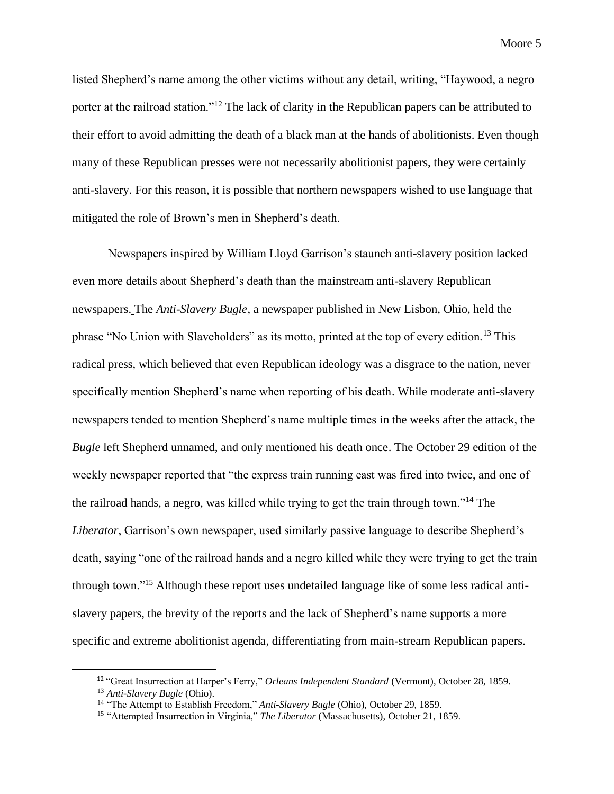listed Shepherd's name among the other victims without any detail, writing, "Haywood, a negro porter at the railroad station."<sup>12</sup> The lack of clarity in the Republican papers can be attributed to their effort to avoid admitting the death of a black man at the hands of abolitionists. Even though many of these Republican presses were not necessarily abolitionist papers, they were certainly anti-slavery. For this reason, it is possible that northern newspapers wished to use language that mitigated the role of Brown's men in Shepherd's death.

Newspapers inspired by William Lloyd Garrison's staunch anti-slavery position lacked even more details about Shepherd's death than the mainstream anti-slavery Republican newspapers. The *Anti-Slavery Bugle*, a newspaper published in New Lisbon, Ohio, held the phrase "No Union with Slaveholders" as its motto, printed at the top of every edition.<sup>13</sup> This radical press, which believed that even Republican ideology was a disgrace to the nation, never specifically mention Shepherd's name when reporting of his death. While moderate anti-slavery newspapers tended to mention Shepherd's name multiple times in the weeks after the attack, the *Bugle* left Shepherd unnamed, and only mentioned his death once. The October 29 edition of the weekly newspaper reported that "the express train running east was fired into twice, and one of the railroad hands, a negro, was killed while trying to get the train through town."<sup>14</sup> The *Liberator*, Garrison's own newspaper, used similarly passive language to describe Shepherd's death, saying "one of the railroad hands and a negro killed while they were trying to get the train through town."<sup>15</sup> Although these report uses undetailed language like of some less radical antislavery papers, the brevity of the reports and the lack of Shepherd's name supports a more specific and extreme abolitionist agenda, differentiating from main-stream Republican papers.

<sup>12</sup> "Great Insurrection at Harper's Ferry," *Orleans Independent Standard* (Vermont), October 28, 1859. <sup>13</sup> *Anti-Slavery Bugle* (Ohio).

<sup>&</sup>lt;sup>14</sup> "The Attempt to Establish Freedom," *Anti-Slavery Bugle* (Ohio), October 29, 1859.

<sup>15</sup> "Attempted Insurrection in Virginia," *The Liberator* (Massachusetts), October 21, 1859.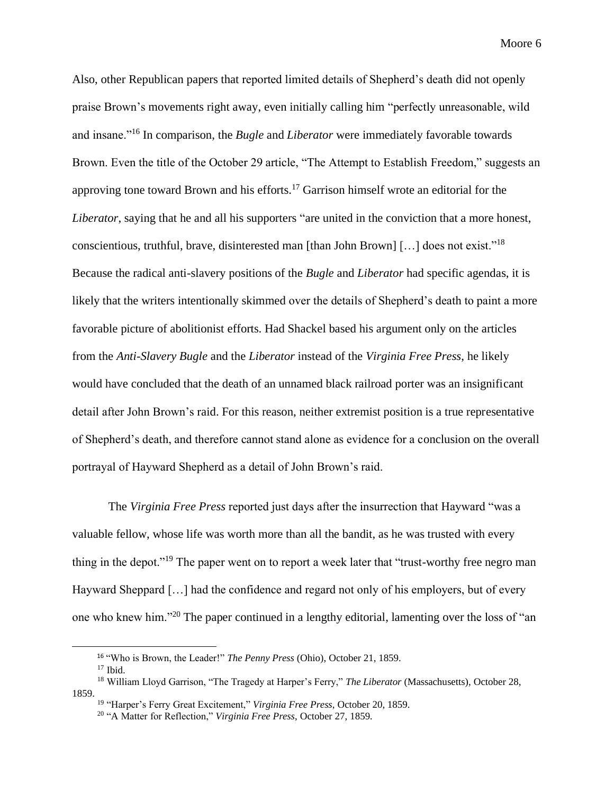Also, other Republican papers that reported limited details of Shepherd's death did not openly praise Brown's movements right away, even initially calling him "perfectly unreasonable, wild and insane."<sup>16</sup> In comparison, the *Bugle* and *Liberator* were immediately favorable towards Brown. Even the title of the October 29 article, "The Attempt to Establish Freedom," suggests an approving tone toward Brown and his efforts.<sup>17</sup> Garrison himself wrote an editorial for the *Liberator*, saying that he and all his supporters "are united in the conviction that a more honest, conscientious, truthful, brave, disinterested man [than John Brown] […] does not exist."<sup>18</sup> Because the radical anti-slavery positions of the *Bugle* and *Liberator* had specific agendas, it is likely that the writers intentionally skimmed over the details of Shepherd's death to paint a more favorable picture of abolitionist efforts. Had Shackel based his argument only on the articles from the *Anti-Slavery Bugle* and the *Liberator* instead of the *Virginia Free Press*, he likely would have concluded that the death of an unnamed black railroad porter was an insignificant detail after John Brown's raid. For this reason, neither extremist position is a true representative of Shepherd's death, and therefore cannot stand alone as evidence for a conclusion on the overall portrayal of Hayward Shepherd as a detail of John Brown's raid.

The *Virginia Free Press* reported just days after the insurrection that Hayward "was a valuable fellow, whose life was worth more than all the bandit, as he was trusted with every thing in the depot."<sup>19</sup> The paper went on to report a week later that "trust-worthy free negro man Hayward Sheppard […] had the confidence and regard not only of his employers, but of every one who knew him."<sup>20</sup> The paper continued in a lengthy editorial, lamenting over the loss of "an

<sup>16</sup> "Who is Brown, the Leader!" *The Penny Press* (Ohio), October 21, 1859.

 $17$  Ibid.

<sup>18</sup> William Lloyd Garrison, "The Tragedy at Harper's Ferry," *The Liberator* (Massachusetts), October 28, 1859.

<sup>19</sup> "Harper's Ferry Great Excitement," *Virginia Free Press*, October 20, 1859.

<sup>20</sup> "A Matter for Reflection," *Virginia Free Press*, October 27, 1859.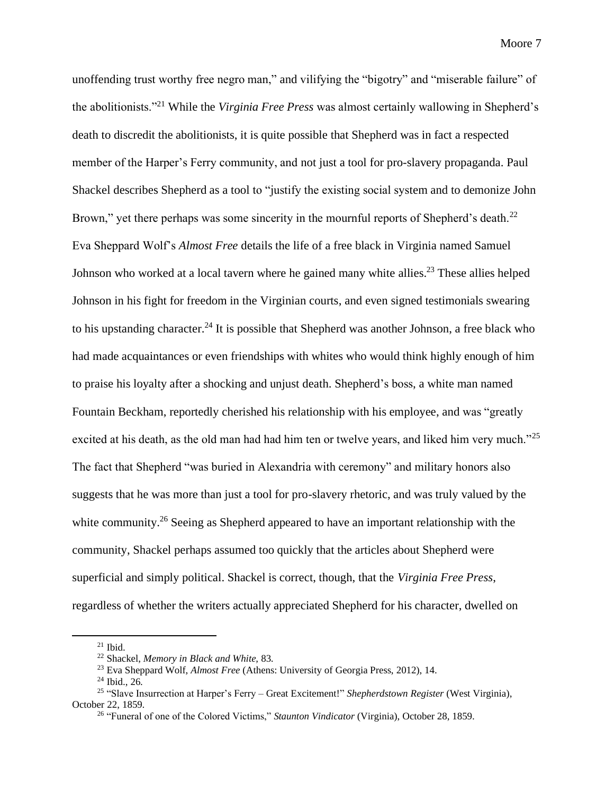unoffending trust worthy free negro man," and vilifying the "bigotry" and "miserable failure" of the abolitionists."<sup>21</sup> While the *Virginia Free Press* was almost certainly wallowing in Shepherd's death to discredit the abolitionists, it is quite possible that Shepherd was in fact a respected member of the Harper's Ferry community, and not just a tool for pro-slavery propaganda. Paul Shackel describes Shepherd as a tool to "justify the existing social system and to demonize John Brown," yet there perhaps was some sincerity in the mournful reports of Shepherd's death.<sup>22</sup> Eva Sheppard Wolf's *Almost Free* details the life of a free black in Virginia named Samuel Johnson who worked at a local tavern where he gained many white allies.<sup>23</sup> These allies helped Johnson in his fight for freedom in the Virginian courts, and even signed testimonials swearing to his upstanding character.<sup>24</sup> It is possible that Shepherd was another Johnson, a free black who had made acquaintances or even friendships with whites who would think highly enough of him to praise his loyalty after a shocking and unjust death. Shepherd's boss, a white man named Fountain Beckham, reportedly cherished his relationship with his employee, and was "greatly excited at his death, as the old man had had him ten or twelve years, and liked him very much."<sup>25</sup> The fact that Shepherd "was buried in Alexandria with ceremony" and military honors also suggests that he was more than just a tool for pro-slavery rhetoric, and was truly valued by the white community.<sup>26</sup> Seeing as Shepherd appeared to have an important relationship with the community, Shackel perhaps assumed too quickly that the articles about Shepherd were superficial and simply political. Shackel is correct, though, that the *Virginia Free Press*, regardless of whether the writers actually appreciated Shepherd for his character, dwelled on

 $21$  Ibid.

<sup>22</sup> Shackel, *Memory in Black and White*, 83.

<sup>23</sup> Eva Sheppard Wolf, *Almost Free* (Athens: University of Georgia Press, 2012), 14.

<sup>24</sup> Ibid., 26.

<sup>25</sup> "Slave Insurrection at Harper's Ferry – Great Excitement!" *Shepherdstown Register* (West Virginia), October 22, 1859.

<sup>26</sup> "Funeral of one of the Colored Victims," *Staunton Vindicator* (Virginia), October 28, 1859.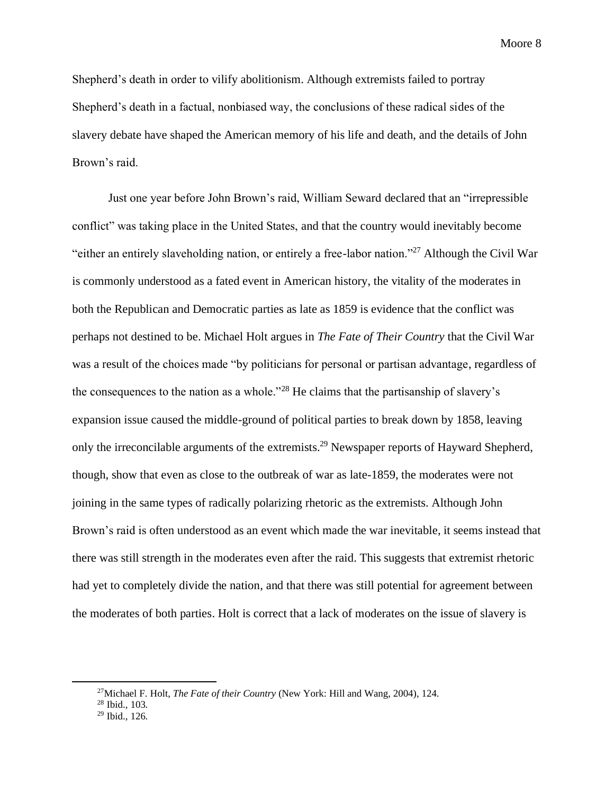Shepherd's death in order to vilify abolitionism. Although extremists failed to portray Shepherd's death in a factual, nonbiased way, the conclusions of these radical sides of the slavery debate have shaped the American memory of his life and death, and the details of John Brown's raid.

Just one year before John Brown's raid, William Seward declared that an "irrepressible conflict" was taking place in the United States, and that the country would inevitably become "either an entirely slaveholding nation, or entirely a free-labor nation."<sup>27</sup> Although the Civil War is commonly understood as a fated event in American history, the vitality of the moderates in both the Republican and Democratic parties as late as 1859 is evidence that the conflict was perhaps not destined to be. Michael Holt argues in *The Fate of Their Country* that the Civil War was a result of the choices made "by politicians for personal or partisan advantage, regardless of the consequences to the nation as a whole."<sup>28</sup> He claims that the partisanship of slavery's expansion issue caused the middle-ground of political parties to break down by 1858, leaving only the irreconcilable arguments of the extremists.<sup>29</sup> Newspaper reports of Hayward Shepherd, though, show that even as close to the outbreak of war as late-1859, the moderates were not joining in the same types of radically polarizing rhetoric as the extremists. Although John Brown's raid is often understood as an event which made the war inevitable, it seems instead that there was still strength in the moderates even after the raid. This suggests that extremist rhetoric had yet to completely divide the nation, and that there was still potential for agreement between the moderates of both parties. Holt is correct that a lack of moderates on the issue of slavery is

<sup>27</sup>Michael F. Holt, *The Fate of their Country* (New York: Hill and Wang, 2004), 124.

<sup>28</sup> Ibid., 103.

<sup>29</sup> Ibid., 126.